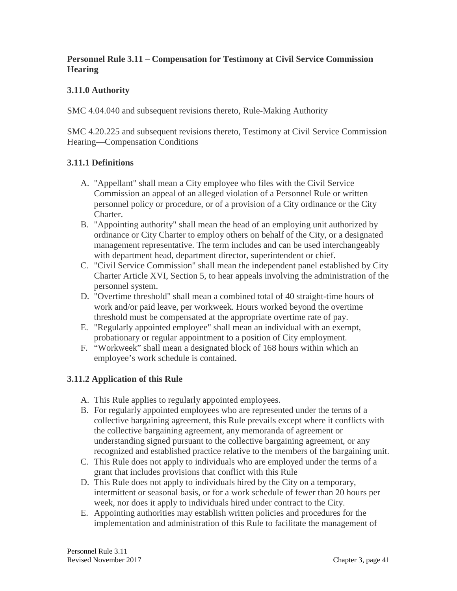#### **Personnel Rule 3.11 – Compensation for Testimony at Civil Service Commission Hearing**

# **3.11.0 Authority**

SMC 4.04.040 and subsequent revisions thereto, Rule-Making Authority

SMC 4.20.225 and subsequent revisions thereto, Testimony at Civil Service Commission Hearing—Compensation Conditions

# **3.11.1 Definitions**

- A. "Appellant" shall mean a City employee who files with the Civil Service Commission an appeal of an alleged violation of a Personnel Rule or written personnel policy or procedure, or of a provision of a City ordinance or the City Charter.
- B. "Appointing authority" shall mean the head of an employing unit authorized by ordinance or City Charter to employ others on behalf of the City, or a designated management representative. The term includes and can be used interchangeably with department head, department director, superintendent or chief.
- C. "Civil Service Commission" shall mean the independent panel established by City Charter Article XVI, Section 5, to hear appeals involving the administration of the personnel system.
- D. "Overtime threshold" shall mean a combined total of 40 straight-time hours of work and/or paid leave, per workweek. Hours worked beyond the overtime threshold must be compensated at the appropriate overtime rate of pay.
- E. "Regularly appointed employee" shall mean an individual with an exempt, probationary or regular appointment to a position of City employment.
- F. "Workweek" shall mean a designated block of 168 hours within which an employee's work schedule is contained.

# **3.11.2 Application of this Rule**

- A. This Rule applies to regularly appointed employees.
- B. For regularly appointed employees who are represented under the terms of a collective bargaining agreement, this Rule prevails except where it conflicts with the collective bargaining agreement, any memoranda of agreement or understanding signed pursuant to the collective bargaining agreement, or any recognized and established practice relative to the members of the bargaining unit.
- C. This Rule does not apply to individuals who are employed under the terms of a grant that includes provisions that conflict with this Rule
- D. This Rule does not apply to individuals hired by the City on a temporary, intermittent or seasonal basis, or for a work schedule of fewer than 20 hours per week, nor does it apply to individuals hired under contract to the City.
- E. Appointing authorities may establish written policies and procedures for the implementation and administration of this Rule to facilitate the management of